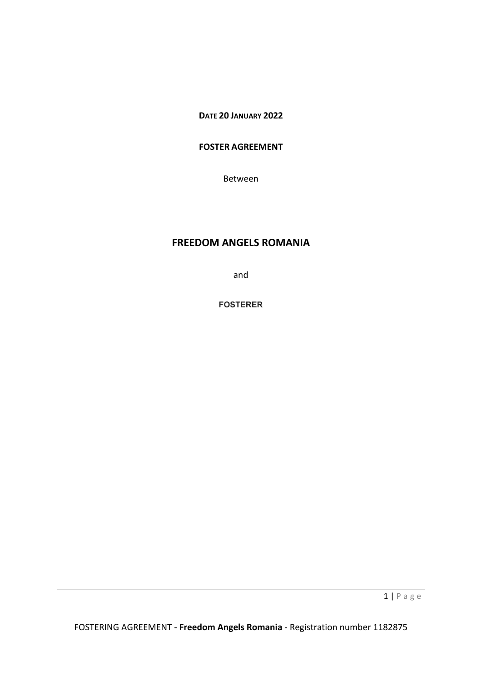**DATE 20 JANUARY 2022**

# **FOSTER AGREEMENT**

Between

# **FREEDOM ANGELS ROMANIA**

and

**FOSTERER**

1 | Page

FOSTERING AGREEMENT - **Freedom Angels Romania** - Registration number 1182875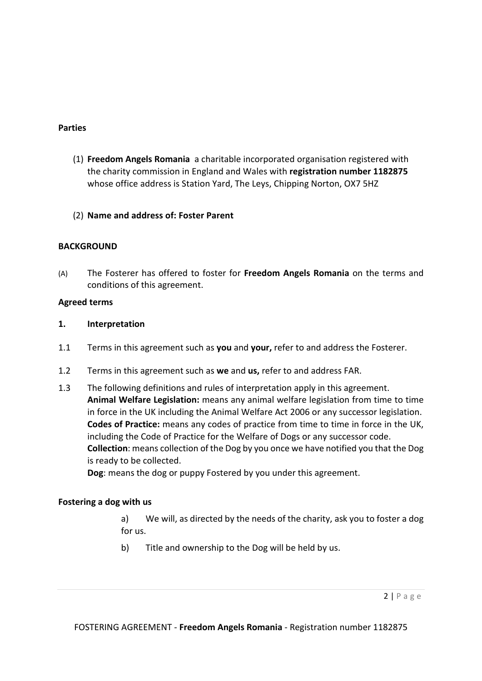## **Parties**

- (1) **Freedom Angels Romania** a charitable incorporated organisation registered with the charity commission in England and Wales with **registration number 1182875** whose office address is Station Yard, The Leys, Chipping Norton, OX7 5HZ
- (2) **Name and address of: Foster Parent**

# **BACKGROUND**

(A) The Fosterer has offered to foster for **Freedom Angels Romania** on the terms and conditions of this agreement.

# **Agreed terms**

## **1. Interpretation**

- 1.1 Terms in this agreement such as **you** and **your,** refer to and address the Fosterer.
- 1.2 Terms in this agreement such as **we** and **us,** refer to and address FAR.
- 1.3 The following definitions and rules of interpretation apply in this agreement. **Animal Welfare Legislation:** means any animal welfare legislation from time to time in force in the UK including the Animal Welfare Act 2006 or any successor legislation. **Codes of Practice:** means any codes of practice from time to time in force in the UK, including the Code of Practice for the Welfare of Dogs or any successor code. **Collection**: means collection of the Dog by you once we have notified you that the Dog is ready to be collected.

**Dog**: means the dog or puppy Fostered by you under this agreement.

## **Fostering a dog with us**

a) We will, as directed by the needs of the charity, ask you to foster a dog for us.

b) Title and ownership to the Dog will be held by us.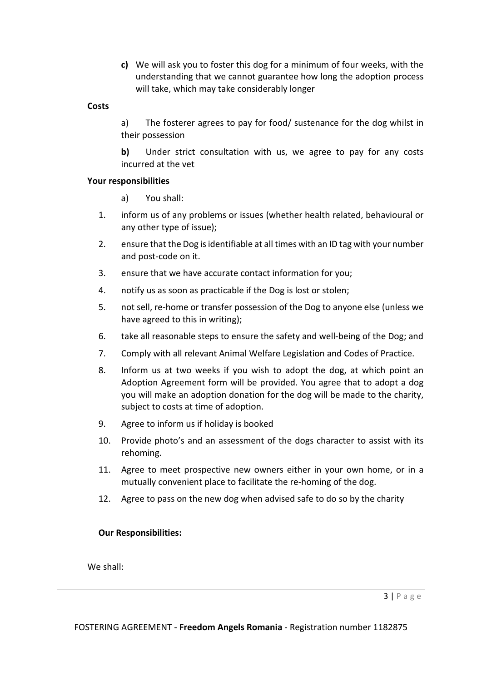**c)** We will ask you to foster this dog for a minimum of four weeks, with the understanding that we cannot guarantee how long the adoption process will take, which may take considerably longer

#### **Costs**

a) The fosterer agrees to pay for food/ sustenance for the dog whilst in their possession

**b)** Under strict consultation with us, we agree to pay for any costs incurred at the vet

#### **Your responsibilities**

a) You shall:

- 1. inform us of any problems or issues (whether health related, behavioural or any other type of issue);
- 2. ensure that the Dog is identifiable at all times with an ID tag with your number and post-code on it.
- 3. ensure that we have accurate contact information for you;
- 4. notify us as soon as practicable if the Dog is lost or stolen;
- 5. not sell, re-home or transfer possession of the Dog to anyone else (unless we have agreed to this in writing);
- 6. take all reasonable steps to ensure the safety and well-being of the Dog; and
- 7. Comply with all relevant Animal Welfare Legislation and Codes of Practice.
- 8. Inform us at two weeks if you wish to adopt the dog, at which point an Adoption Agreement form will be provided. You agree that to adopt a dog you will make an adoption donation for the dog will be made to the charity, subject to costs at time of adoption.
- 9. Agree to inform us if holiday is booked
- 10. Provide photo's and an assessment of the dogs character to assist with its rehoming.
- 11. Agree to meet prospective new owners either in your own home, or in a mutually convenient place to facilitate the re-homing of the dog.
- 12. Agree to pass on the new dog when advised safe to do so by the charity

## **Our Responsibilities:**

We shall: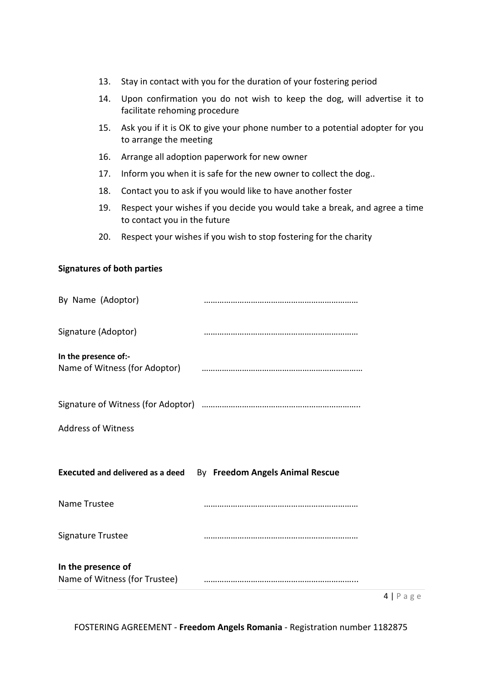- 13. Stay in contact with you for the duration of your fostering period
- 14. Upon confirmation you do not wish to keep the dog, will advertise it to facilitate rehoming procedure
- 15. Ask you if it is OK to give your phone number to a potential adopter for you to arrange the meeting
- 16. Arrange all adoption paperwork for new owner
- 17. Inform you when it is safe for the new owner to collect the dog..
- 18. Contact you to ask if you would like to have another foster
- 19. Respect your wishes if you decide you would take a break, and agree a time to contact you in the future
- 20. Respect your wishes if you wish to stop fostering for the charity

#### **Signatures of both parties**

|                                                     |                                                                                 | $4   P \text{age}$ |
|-----------------------------------------------------|---------------------------------------------------------------------------------|--------------------|
| In the presence of<br>Name of Witness (for Trustee) |                                                                                 |                    |
| Signature Trustee                                   |                                                                                 |                    |
| Name Trustee                                        |                                                                                 |                    |
|                                                     | Executed and delivered as a deed By Freedom Angels Animal Rescue                |                    |
| <b>Address of Witness</b>                           |                                                                                 |                    |
|                                                     |                                                                                 |                    |
| In the presence of:-                                | Name of Witness (for Adoptor) <b>Construction</b> Mame of Witness (for Adoptor) |                    |
| Signature (Adoptor)                                 |                                                                                 |                    |
| By Name (Adoptor)                                   |                                                                                 |                    |

FOSTERING AGREEMENT - **Freedom Angels Romania** - Registration number 1182875